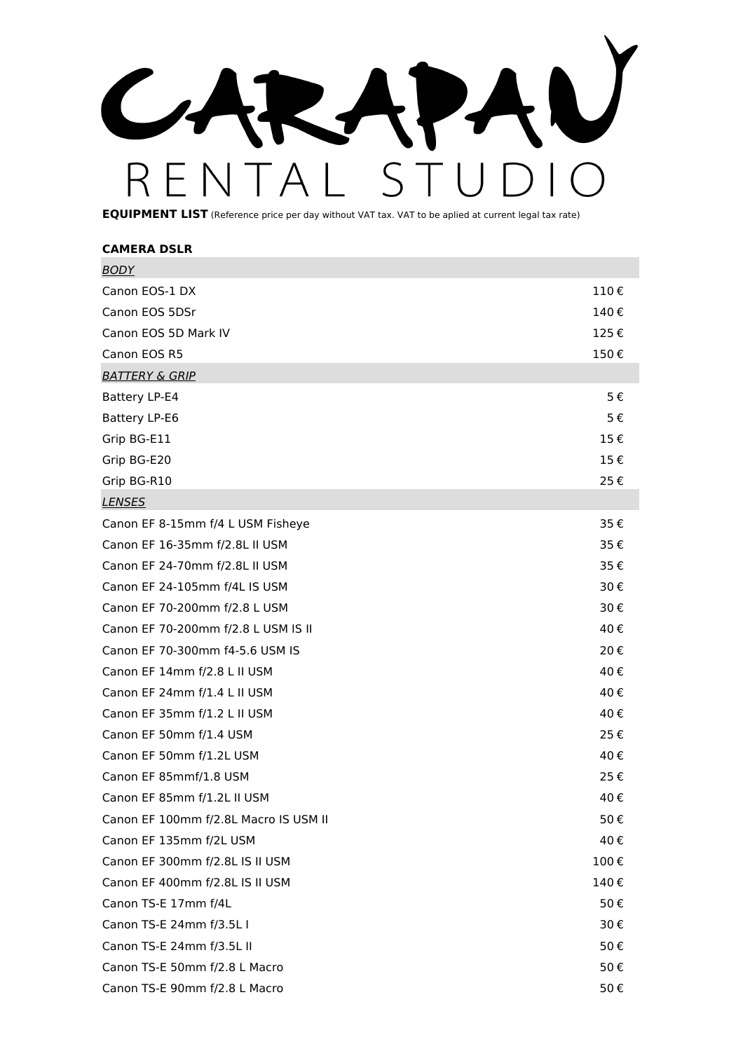R CAR-A  $E$ N R  $\zeta$ 

**EQUIPMENT LIST** (Reference price per day without VAT tax. VAT to be aplied at current legal tax rate)

| <b>CAMERA DSLR</b>                    |      |
|---------------------------------------|------|
| <b>BODY</b>                           |      |
| Canon EOS-1 DX                        | 110€ |
| Canon EOS 5DSr                        | 140€ |
| Canon EOS 5D Mark IV                  | 125€ |
| Canon EOS R5                          | 150€ |
| <b>BATTERY &amp; GRIP</b>             |      |
| Battery LP-E4                         | 5€   |
| Battery LP-E6                         | 5€   |
| Grip BG-E11                           | 15€  |
| Grip BG-E20                           | 15€  |
| Grip BG-R10                           | 25€  |
| <b>LENSES</b>                         |      |
| Canon EF 8-15mm f/4 L USM Fisheye     | 35€  |
| Canon EF 16-35mm f/2.8L II USM        | 35€  |
| Canon EF 24-70mm f/2.8L II USM        | 35€  |
| Canon EF 24-105mm f/4L IS USM         | 30€  |
| Canon EF 70-200mm f/2.8 L USM         | 30€  |
| Canon EF 70-200mm f/2.8 L USM IS II   | 40€  |
| Canon EF 70-300mm f4-5.6 USM IS       | 20€  |
| Canon EF 14mm f/2.8 L II USM          | 40€  |
| Canon EF 24mm f/1.4 L II USM          | 40€  |
| Canon EF 35mm f/1.2 L II USM          | 40€  |
| Canon EF 50mm f/1.4 USM               | 25€  |
| Canon EF 50mm f/1.2L USM              | 40€  |
| Canon EF 85mmf/1.8 USM                | 25€  |
| Canon EF 85mm f/1.2L II USM           | 40€  |
| Canon EF 100mm f/2.8L Macro IS USM II | 50€  |
| Canon EF 135mm f/2L USM               | 40€  |
| Canon EF 300mm f/2.8L IS II USM       | 100€ |
| Canon EF 400mm f/2.8L IS II USM       | 140€ |
| Canon TS-E 17mm f/4L                  | 50€  |
| Canon TS-E 24mm f/3.5L I              | 30€  |
| Canon TS-E 24mm f/3.5L II             | 50€  |
| Canon TS-E 50mm f/2.8 L Macro         | 50€  |
| Canon TS-E 90mm f/2.8 L Macro         | 50€  |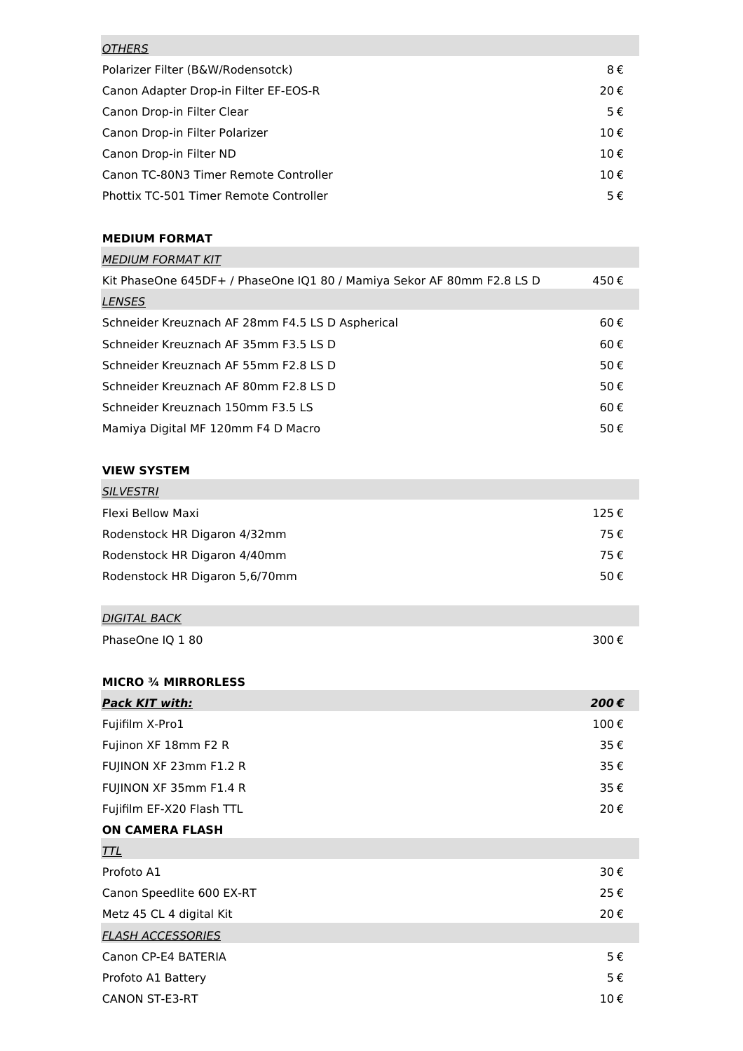| <b>OTHERS</b>                          |         |
|----------------------------------------|---------|
| Polarizer Filter (B&W/Rodensotck)      | 8€      |
| Canon Adapter Drop-in Filter EF-EOS-R  | 20€     |
| Canon Drop-in Filter Clear             | $5 \in$ |
| Canon Drop-in Filter Polarizer         | 10€     |
| Canon Drop-in Filter ND                | 10€     |
| Canon TC-80N3 Timer Remote Controller  | 10€     |
| Phottix TC-501 Timer Remote Controller | $5 \in$ |

## **MEDIUM FORMAT**

| <b>MEDIUM FORMAT KIT</b>                                               |      |
|------------------------------------------------------------------------|------|
| Kit PhaseOne 645DF+ / PhaseOne IQ1 80 / Mamiya Sekor AF 80mm F2.8 LS D | 450€ |
| LENSES                                                                 |      |
| Schneider Kreuznach AF 28mm F4.5 LS D Aspherical                       | 60€  |
| Schneider Kreuznach AF 35mm F3.5 LS D                                  | 60€  |
| Schneider Kreuznach AF 55mm F2.8 LS D                                  | 50€  |
| Schneider Kreuznach AF 80mm F2.8 LS D                                  | 50€  |
| Schneider Kreuznach 150mm F3.5 LS                                      | 60€  |
| Mamiya Digital MF 120mm F4 D Macro                                     | 50€  |

## **VIEW SYSTEM**

| <b>SILVESTRI</b>               |      |
|--------------------------------|------|
| Flexi Bellow Maxi              | 125€ |
| Rodenstock HR Digaron 4/32mm   | 75€  |
| Rodenstock HR Digaron 4/40mm   | 75€  |
| Rodenstock HR Digaron 5,6/70mm | 50€  |

| <b>DIGITAL BACK</b> |      |
|---------------------|------|
| PhaseOne IQ 180     | 300€ |

# **MICRO ¾ MIRRORLESS**

| Pack KIT with:            | 200€ |
|---------------------------|------|
| Fujifilm X-Pro1           | 100€ |
| Fujinon XF 18mm F2 R      | 35€  |
| FUJINON XF 23mm F1.2 R    | 35€  |
| FUJINON XF 35mm F1.4 R    | 35€  |
| Fujifilm EF-X20 Flash TTL | 20€  |
| <b>ON CAMERA FLASH</b>    |      |
| <u>TTL</u>                |      |
| Profoto A1                | 30€  |
| Canon Speedlite 600 EX-RT | 25€  |
| Metz 45 CL 4 digital Kit  | 20€  |
| <b>FLASH ACCESSORIES</b>  |      |
| Canon CP-E4 BATERIA       | 5€   |
| Profoto A1 Battery        | 5€   |
| <b>CANON ST-E3-RT</b>     | 10€  |
|                           |      |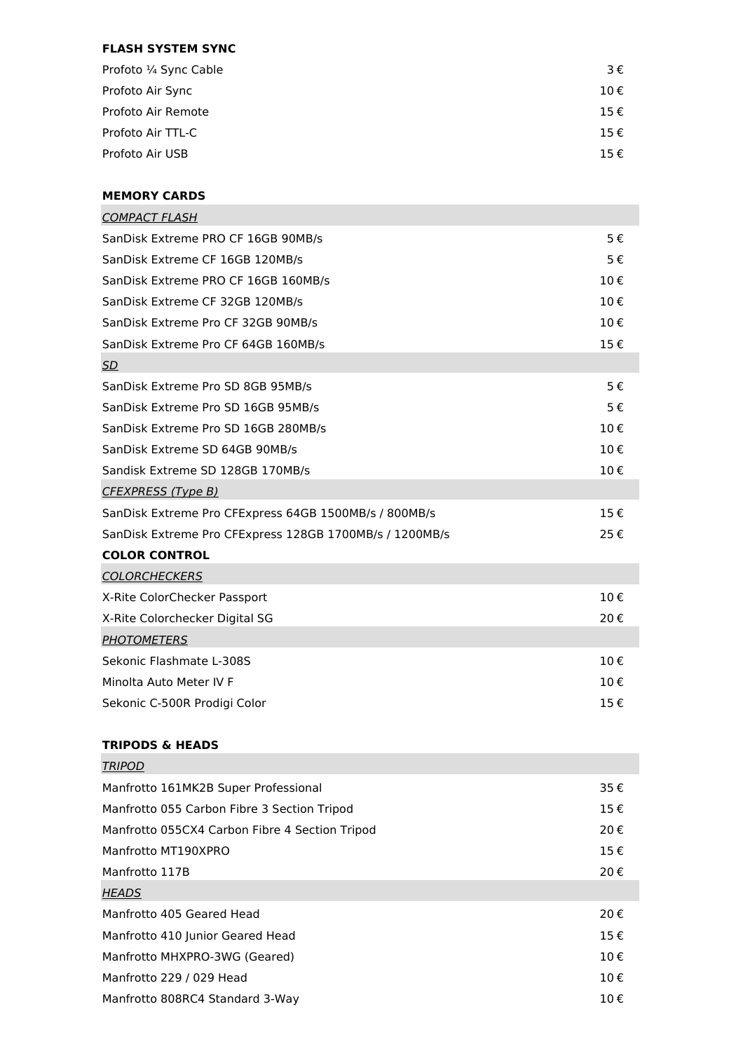# **FLASH SYSTEM SYNC**

| Profoto 1/4 Sync Cable | 3€                     |
|------------------------|------------------------|
| Profoto Air Sync       | 10€                    |
| Profoto Air Remote     | 15€                    |
| Profoto Air TTL-C      | 15€                    |
| Profoto Air USB        | $15 \text{ } \epsilon$ |

### **MEMORY CARDS**

| <b>COMPACT FLASH</b>                                    |                   |
|---------------------------------------------------------|-------------------|
| SanDisk Extreme PRO CF 16GB 90MB/s                      | 5€                |
| SanDisk Extreme CF 16GB 120MB/s                         | 5€                |
| SanDisk Extreme PRO CF 16GB 160MB/s                     | 10€               |
| SanDisk Extreme CF 32GB 120MB/s                         | 10€               |
| SanDisk Extreme Pro CF 32GB 90MB/s                      | 10€               |
| SanDisk Extreme Pro CF 64GB 160MB/s                     | 15€               |
| SD                                                      |                   |
| SanDisk Extreme Pro SD 8GB 95MB/s                       | 5€                |
| SanDisk Extreme Pro SD 16GB 95MB/s                      | 5€                |
| SanDisk Extreme Pro SD 16GB 280MB/s                     | $10 \text{ } \in$ |
| SanDisk Extreme SD 64GB 90MB/s                          | 10€               |
| Sandisk Extreme SD 128GB 170MB/s                        | 10€               |
| <b>CFEXPRESS (Type B)</b>                               |                   |
| SanDisk Extreme Pro CFExpress 64GB 1500MB/s / 800MB/s   | 15€               |
| SanDisk Extreme Pro CFExpress 128GB 1700MB/s / 1200MB/s | 25€               |
| <b>COLOR CONTROL</b>                                    |                   |
| <b>COLORCHECKERS</b>                                    |                   |
| X-Rite ColorChecker Passport                            | 10€               |
| X-Rite Colorchecker Digital SG                          | 20€               |
| <b>PHOTOMETERS</b>                                      |                   |
| Sekonic Flashmate L-308S                                | 10€               |
| Minolta Auto Meter IV F                                 | 10€               |
| Sekonic C-500R Prodigi Color                            | 15€               |
|                                                         |                   |

# **TRIPODS & HEADS**

| TRIPOD                                         |     |
|------------------------------------------------|-----|
| Manfrotto 161MK2B Super Professional           | 35€ |
| Manfrotto 055 Carbon Fibre 3 Section Tripod    | 15€ |
| Manfrotto 055CX4 Carbon Fibre 4 Section Tripod | 20€ |
| Manfrotto MT190XPRO                            | 15€ |
| Manfrotto 117B                                 | 20€ |
| <b>HEADS</b>                                   |     |
| Manfrotto 405 Geared Head                      | 20€ |
| Manfrotto 410 Junior Geared Head               | 15€ |
| Manfrotto MHXPRO-3WG (Geared)                  | 10€ |
| Manfrotto 229 / 029 Head                       | 10€ |
| Manfrotto 808RC4 Standard 3-Way                | 10€ |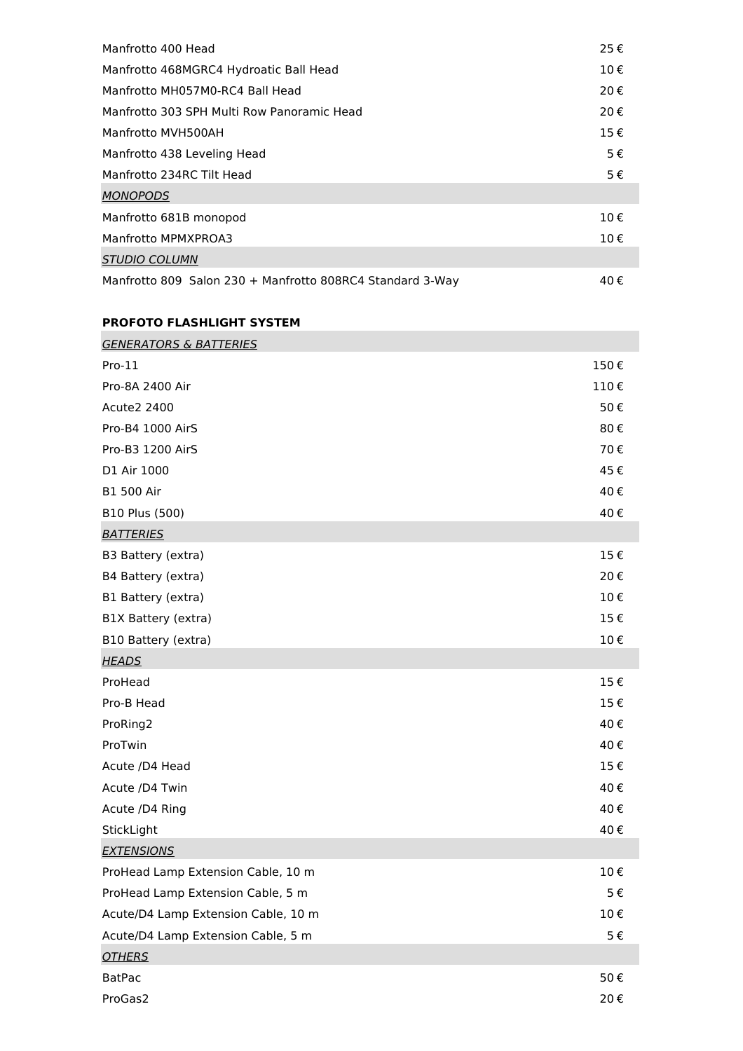| Manfrotto 400 Head                                        | 25€     |
|-----------------------------------------------------------|---------|
| Manfrotto 468MGRC4 Hydroatic Ball Head                    | 10€     |
| Manfrotto MH057M0-RC4 Ball Head                           | 20€     |
| Manfrotto 303 SPH Multi Row Panoramic Head                | 20€     |
| Manfrotto MVH500AH                                        | 15€     |
| Manfrotto 438 Leveling Head                               | 5€      |
| Manfrotto 234RC Tilt Head                                 | $5 \in$ |
| <b>MONOPODS</b>                                           |         |
| Manfrotto 681B monopod                                    | 10€     |
| Manfrotto MPMXPROA3                                       | 10€     |
| <b>STUDIO COLUMN</b>                                      |         |
| Manfrotto 809 Salon 230 + Manfrotto 808RC4 Standard 3-Way | 40€     |

# **PROFOTO FLASHLIGHT SYSTEM**

| <b>GENERATORS &amp; BATTERIES</b>   |         |
|-------------------------------------|---------|
| $Pro-11$                            | 150€    |
| Pro-8A 2400 Air                     | 110€    |
| <b>Acute2 2400</b>                  | 50€     |
| Pro-B4 1000 AirS                    | 80€     |
| Pro-B3 1200 AirS                    | 70€     |
| D1 Air 1000                         | 45€     |
| <b>B1 500 Air</b>                   | 40€     |
| B10 Plus (500)                      | 40€     |
| <b>BATTERIES</b>                    |         |
| B3 Battery (extra)                  | 15€     |
| B4 Battery (extra)                  | 20€     |
| B1 Battery (extra)                  | 10€     |
| B1X Battery (extra)                 | 15€     |
| B10 Battery (extra)                 | 10€     |
| <b>HEADS</b>                        |         |
| ProHead                             | 15€     |
| Pro-B Head                          | 15€     |
| ProRing2                            | 40€     |
| ProTwin                             | 40€     |
| Acute /D4 Head                      | 15€     |
| Acute /D4 Twin                      | 40€     |
| Acute /D4 Ring                      | 40€     |
| StickLight                          | 40€     |
| <b>EXTENSIONS</b>                   |         |
| ProHead Lamp Extension Cable, 10 m  | 10€     |
| ProHead Lamp Extension Cable, 5 m   | $5 \in$ |
| Acute/D4 Lamp Extension Cable, 10 m | 10€     |
| Acute/D4 Lamp Extension Cable, 5 m  | 5€      |
| <b>OTHERS</b>                       |         |
| <b>BatPac</b>                       | 50€     |
| ProGas2                             | 20€     |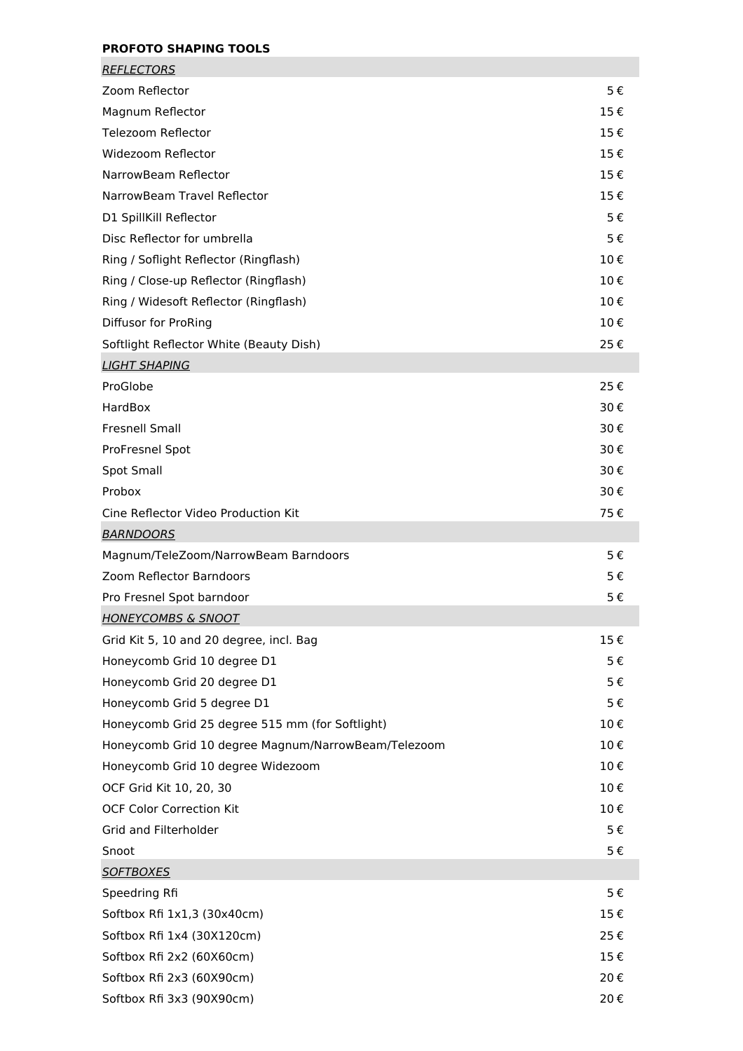# **PROFOTO SHAPING TOOLS**

| <b>REFLECTORS</b>                                   |     |
|-----------------------------------------------------|-----|
| Zoom Reflector                                      | 5€  |
| Magnum Reflector                                    | 15€ |
| Telezoom Reflector                                  | 15€ |
| Widezoom Reflector                                  | 15€ |
| NarrowBeam Reflector                                | 15€ |
| NarrowBeam Travel Reflector                         | 15€ |
| D1 SpillKill Reflector                              | 5€  |
| Disc Reflector for umbrella                         | 5€  |
| Ring / Soflight Reflector (Ringflash)               | 10€ |
| Ring / Close-up Reflector (Ringflash)               | 10€ |
| Ring / Widesoft Reflector (Ringflash)               | 10€ |
| Diffusor for ProRing                                | 10€ |
| Softlight Reflector White (Beauty Dish)             | 25€ |
| <b>LIGHT SHAPING</b>                                |     |
| ProGlobe                                            | 25€ |
| HardBox                                             | 30€ |
| Fresnell Small                                      | 30€ |
| ProFresnel Spot                                     | 30€ |
| <b>Spot Small</b>                                   | 30€ |
| Probox                                              | 30€ |
| Cine Reflector Video Production Kit                 | 75€ |
| <b>BARNDOORS</b>                                    |     |
| Magnum/TeleZoom/NarrowBeam Barndoors                | 5€  |
| Zoom Reflector Barndoors                            | 5€  |
| Pro Fresnel Spot barndoor                           | 5€  |
| <b>HONEYCOMBS &amp; SNOOT</b>                       |     |
| Grid Kit 5, 10 and 20 degree, incl. Bag             | 15€ |
| Honeycomb Grid 10 degree D1                         | 5€  |
| Honeycomb Grid 20 degree D1                         | 5€  |
| Honeycomb Grid 5 degree D1                          | 5€  |
| Honeycomb Grid 25 degree 515 mm (for Softlight)     | 10€ |
| Honeycomb Grid 10 degree Magnum/NarrowBeam/Telezoom | 10€ |
| Honeycomb Grid 10 degree Widezoom                   | 10€ |
| OCF Grid Kit 10, 20, 30                             | 10€ |
| <b>OCF Color Correction Kit</b>                     | 10€ |
| Grid and Filterholder                               | 5€  |
| Snoot                                               | 5€  |
| <u>SOFTBOXES</u>                                    |     |
| Speedring Rfi                                       | 5€  |
| Softbox Rfi 1x1,3 (30x40cm)                         | 15€ |
| Softbox Rfi 1x4 (30X120cm)                          | 25€ |
| Softbox Rfi 2x2 (60X60cm)                           | 15€ |
| Softbox Rfi 2x3 (60X90cm)                           | 20€ |
| Softbox Rfi 3x3 (90X90cm)                           | 20€ |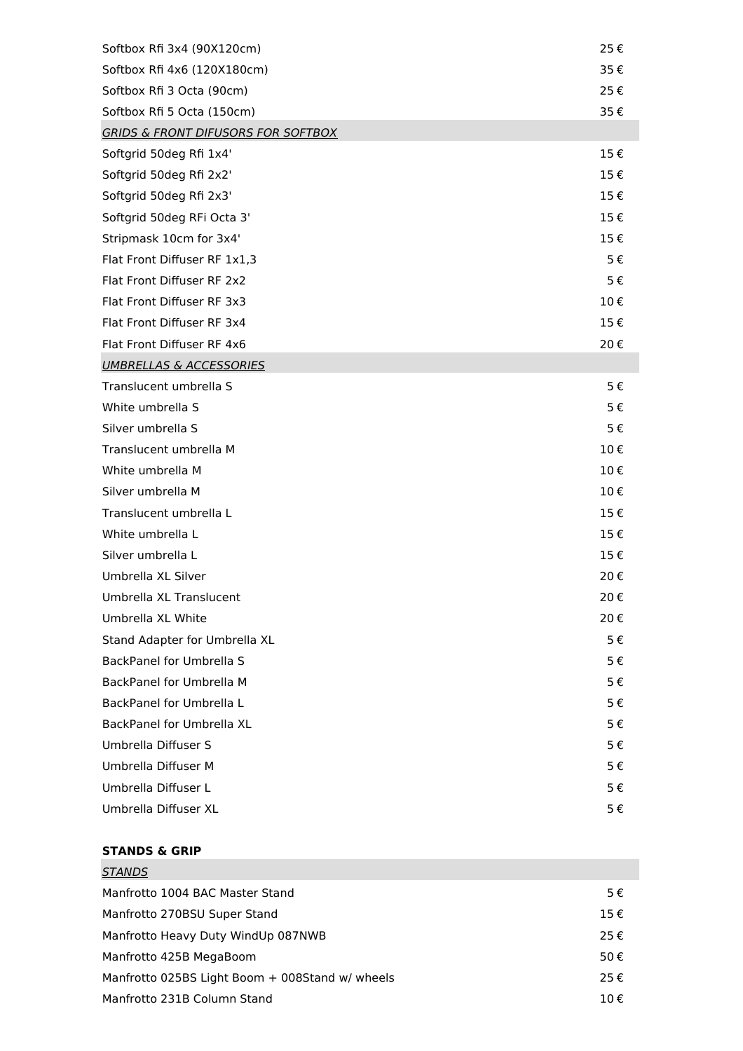| Softbox Rfi 3x4 (90X120cm)                    | 25€ |
|-----------------------------------------------|-----|
| Softbox Rfi 4x6 (120X180cm)                   | 35€ |
| Softbox Rfi 3 Octa (90cm)                     | 25€ |
| Softbox Rfi 5 Octa (150cm)                    | 35€ |
| <b>GRIDS &amp; FRONT DIFUSORS FOR SOFTBOX</b> |     |
| Softgrid 50deg Rfi 1x4'                       | 15€ |
| Softgrid 50deg Rfi 2x2'                       | 15€ |
| Softgrid 50deg Rfi 2x3'                       | 15€ |
| Softgrid 50deg RFi Octa 3'                    | 15€ |
| Stripmask 10cm for 3x4'                       | 15€ |
| Flat Front Diffuser RF 1x1,3                  | 5€  |
| Flat Front Diffuser RF 2x2                    | 5€  |
| Flat Front Diffuser RF 3x3                    | 10€ |
| Flat Front Diffuser RF 3x4                    | 15€ |
| Flat Front Diffuser RF 4x6                    | 20€ |
| <b>UMBRELLAS &amp; ACCESSORIES</b>            |     |
| Translucent umbrella S                        | 5€  |
| White umbrella S                              | 5€  |
| Silver umbrella S                             | 5€  |
| Translucent umbrella M                        | 10€ |
| White umbrella M                              | 10€ |
| Silver umbrella M                             | 10€ |
| Translucent umbrella L                        | 15€ |
| White umbrella L                              | 15€ |
| Silver umbrella L                             | 15€ |
| Umbrella XL Silver                            | 20€ |
| Umbrella XL Translucent                       | 20€ |
| Umbrella XL White                             | 20€ |
| Stand Adapter for Umbrella XL                 | 5€  |
| BackPanel for Umbrella S                      | 5€  |
| BackPanel for Umbrella M                      | 5€  |
| BackPanel for Umbrella L                      | 5€  |
| BackPanel for Umbrella XL                     | 5€  |
| Umbrella Diffuser S                           | 5€  |
| Umbrella Diffuser M                           | 5€  |
| Umbrella Diffuser L                           | 5€  |
| Umbrella Diffuser XL                          | 5€  |

## **STANDS & GRIP**

| 5€       |
|----------|
| $15 \in$ |
| 25€      |
| 50€      |
| 25€      |
| 10€      |
|          |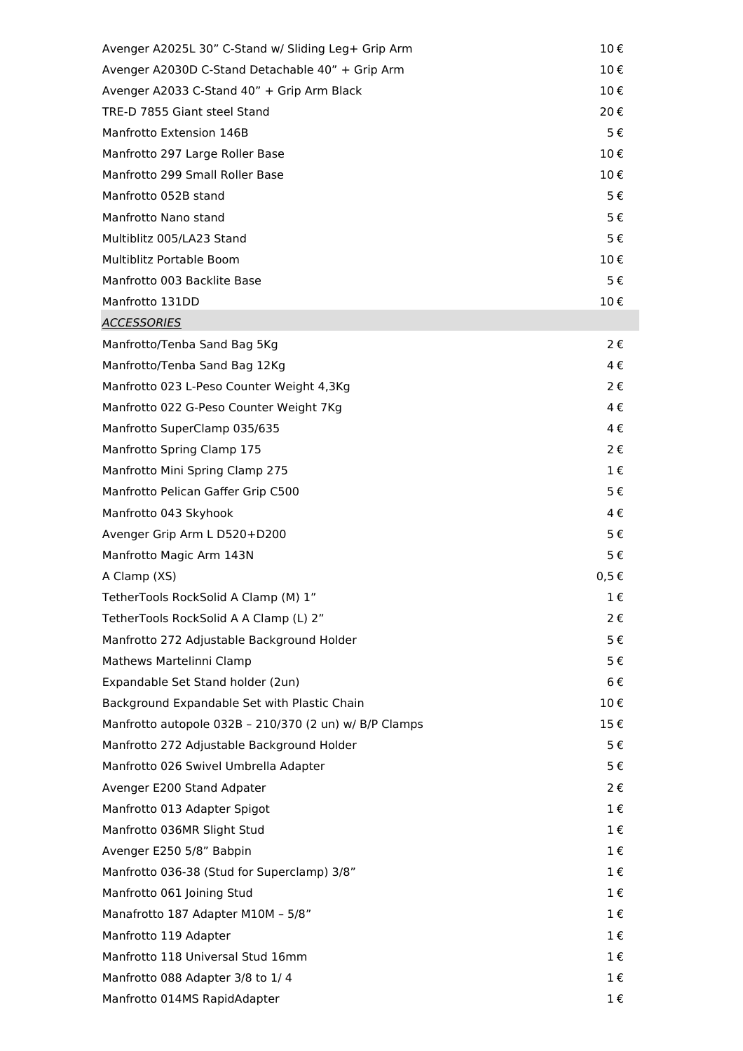| Avenger A2025L 30" C-Stand w/ Sliding Leg+ Grip Arm    | 10€       |
|--------------------------------------------------------|-----------|
| Avenger A2030D C-Stand Detachable 40" + Grip Arm       | 10€       |
| Avenger A2033 C-Stand 40" + Grip Arm Black             | 10€       |
| TRE-D 7855 Giant steel Stand                           | 20€       |
| Manfrotto Extension 146B                               | 5€        |
| Manfrotto 297 Large Roller Base                        | 10€       |
| Manfrotto 299 Small Roller Base                        | 10€       |
| Manfrotto 052B stand                                   | 5€        |
| Manfrotto Nano stand                                   | 5€        |
| Multiblitz 005/LA23 Stand                              | 5€        |
| Multiblitz Portable Boom                               | 10€       |
| Manfrotto 003 Backlite Base                            | 5€        |
| Manfrotto 131DD                                        | 10€       |
| <b>ACCESSORIES</b>                                     |           |
| Manfrotto/Tenba Sand Bag 5Kg                           | 2€        |
| Manfrotto/Tenba Sand Bag 12Kg                          | 4€        |
| Manfrotto 023 L-Peso Counter Weight 4,3Kg              | 2€        |
| Manfrotto 022 G-Peso Counter Weight 7Kg                | 4€        |
| Manfrotto SuperClamp 035/635                           | 4€        |
| Manfrotto Spring Clamp 175                             | 2€        |
| Manfrotto Mini Spring Clamp 275                        | $1 \in$   |
| Manfrotto Pelican Gaffer Grip C500                     | 5€        |
| Manfrotto 043 Skyhook                                  | 4€        |
| Avenger Grip Arm L D520+D200                           | 5€        |
| Manfrotto Magic Arm 143N                               | 5€        |
| A Clamp (XS)                                           | $0,5 \in$ |
| TetherTools RockSolid A Clamp (M) 1"                   | 1€        |
| TetherTools RockSolid A A Clamp (L) 2"                 | 2€        |
| Manfrotto 272 Adjustable Background Holder             | 5€        |
| Mathews Martelinni Clamp                               | 5€        |
| Expandable Set Stand holder (2un)                      | 6€        |
| Background Expandable Set with Plastic Chain           | 10€       |
| Manfrotto autopole 032B - 210/370 (2 un) w/ B/P Clamps | 15€       |
| Manfrotto 272 Adjustable Background Holder             | 5€        |
| Manfrotto 026 Swivel Umbrella Adapter                  | 5€        |
| Avenger E200 Stand Adpater                             | 2€        |
| Manfrotto 013 Adapter Spigot                           | $1 \in$   |
| Manfrotto 036MR Slight Stud                            | 1€        |
| Avenger E250 5/8" Babpin                               | 1€        |
| Manfrotto 036-38 (Stud for Superclamp) 3/8"            | $1 \in$   |
| Manfrotto 061 Joining Stud                             | $1 \in$   |
| Manafrotto 187 Adapter M10M - 5/8"                     | $1 \in$   |
| Manfrotto 119 Adapter                                  | 1€        |
| Manfrotto 118 Universal Stud 16mm                      | $1 \in$   |
| Manfrotto 088 Adapter 3/8 to 1/4                       | $1 \in$   |
| Manfrotto 014MS RapidAdapter                           | $1 \in$   |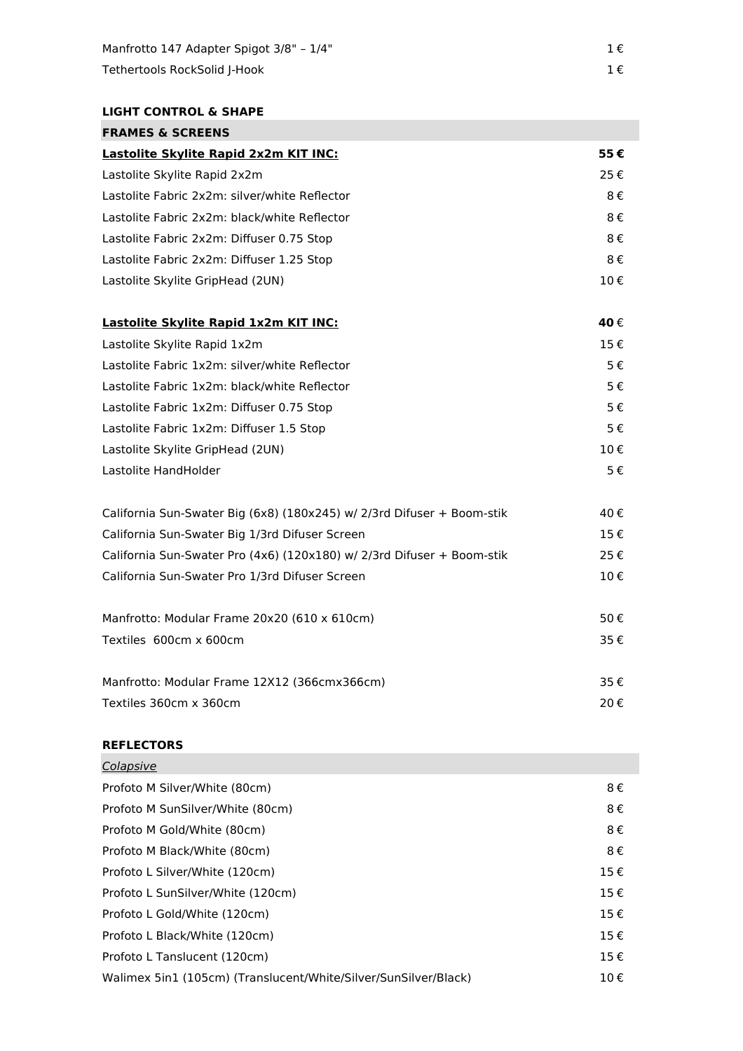# **LIGHT CONTROL & SHAPE FRAMES & SCREENS**

| FRAMES & SLKEENS                                                       |     |
|------------------------------------------------------------------------|-----|
| Lastolite Skylite Rapid 2x2m KIT INC:                                  | 55€ |
| Lastolite Skylite Rapid 2x2m                                           | 25€ |
| Lastolite Fabric 2x2m: silver/white Reflector                          | 8€  |
| Lastolite Fabric 2x2m: black/white Reflector                           | 8€  |
| Lastolite Fabric 2x2m: Diffuser 0.75 Stop                              | 8€  |
| Lastolite Fabric 2x2m: Diffuser 1.25 Stop                              | 8€  |
| Lastolite Skylite GripHead (2UN)                                       | 10€ |
| Lastolite Skylite Rapid 1x2m KIT INC:                                  | 40€ |
| Lastolite Skylite Rapid 1x2m                                           | 15€ |
| Lastolite Fabric 1x2m: silver/white Reflector                          | 5€  |
| Lastolite Fabric 1x2m: black/white Reflector                           | 5€  |
| Lastolite Fabric 1x2m: Diffuser 0.75 Stop                              | 5€  |
| Lastolite Fabric 1x2m: Diffuser 1.5 Stop                               | 5€  |
| Lastolite Skylite GripHead (2UN)                                       | 10€ |
| Lastolite HandHolder                                                   | 5€  |
| California Sun-Swater Big (6x8) (180x245) w/ 2/3rd Difuser + Boom-stik | 40€ |
| California Sun-Swater Big 1/3rd Difuser Screen                         | 15€ |
| California Sun-Swater Pro (4x6) (120x180) w/ 2/3rd Difuser + Boom-stik | 25€ |
| California Sun-Swater Pro 1/3rd Difuser Screen                         | 10€ |
| Manfrotto: Modular Frame 20x20 (610 x 610cm)                           | 50€ |
| Textiles 600cm x 600cm                                                 | 35€ |

| Manfrotto: Modular Frame 12X12 (366cmx366cm) | 35€ |
|----------------------------------------------|-----|
| Textiles 360cm x 360cm                       | 20€ |

#### **REFLECTORS**  $\overline{C}$

| Colapsive                                                       |     |
|-----------------------------------------------------------------|-----|
| Profoto M Silver/White (80cm)                                   | 8€  |
| Profoto M SunSilver/White (80cm)                                | 8€  |
| Profoto M Gold/White (80cm)                                     | 8€  |
| Profoto M Black/White (80cm)                                    | 8€  |
| Profoto L Silver/White (120cm)                                  | 15€ |
| Profoto L SunSilver/White (120cm)                               | 15€ |
| Profoto L Gold/White (120cm)                                    | 15€ |
| Profoto L Black/White (120cm)                                   | 15€ |
| Profoto L Tanslucent (120cm)                                    | 15€ |
| Walimex 5in1 (105cm) (Translucent/White/Silver/SunSilver/Black) | 10€ |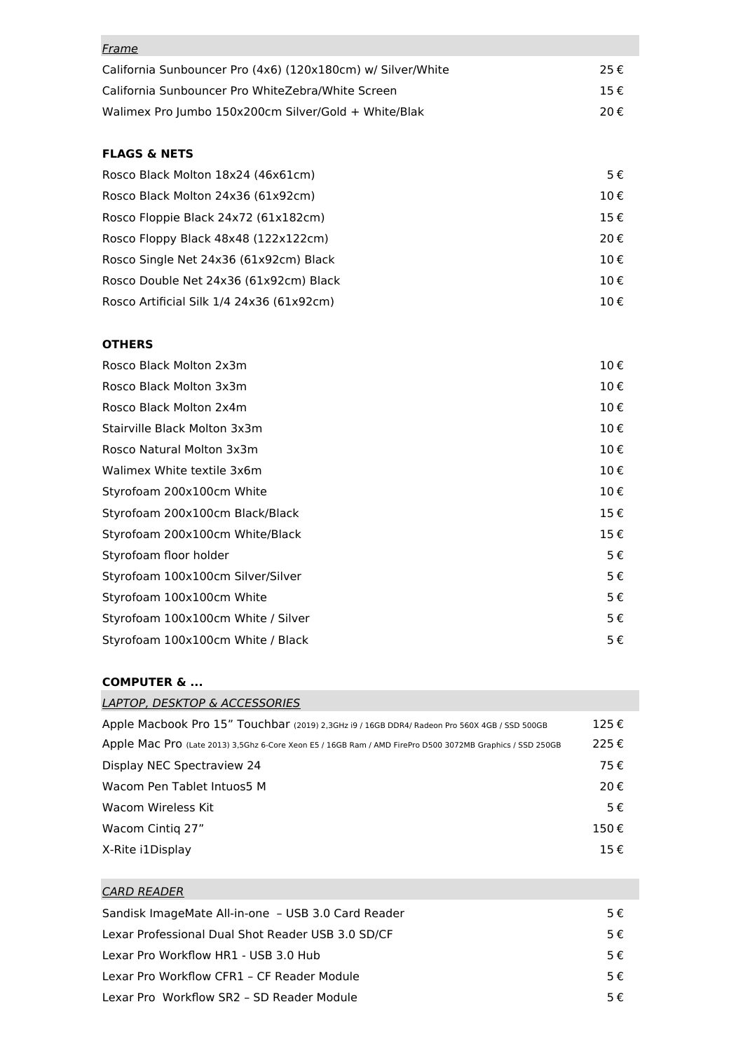| <u>Frame</u>                                                |                        |
|-------------------------------------------------------------|------------------------|
| California Sunbouncer Pro (4x6) (120x180cm) w/ Silver/White | 25€                    |
| California Sunbouncer Pro WhiteZebra/White Screen           | $15 \text{ } \epsilon$ |
| Walimex Pro Jumbo 150x200cm Silver/Gold + White/Blak        | 20€                    |

## **FLAGS & NETS**

| Rosco Black Molton 18x24 (46x61cm)        | $5 \in$ |
|-------------------------------------------|---------|
| Rosco Black Molton 24x36 (61x92cm)        | 10€     |
| Rosco Floppie Black 24x72 (61x182cm)      | 15€     |
| Rosco Floppy Black 48x48 (122x122cm)      | 20€     |
| Rosco Single Net 24x36 (61x92cm) Black    | 10€     |
| Rosco Double Net 24x36 (61x92cm) Black    | 10€     |
| Rosco Artificial Silk 1/4 24x36 (61x92cm) | 10€     |

## **OTHERS**

| Rosco Black Molton 2x3m            | 10€ |
|------------------------------------|-----|
| Rosco Black Molton 3x3m            | 10€ |
| Rosco Black Molton 2x4m            | 10€ |
| Stairville Black Molton 3x3m       | 10€ |
| Rosco Natural Molton 3x3m          | 10€ |
| Walimex White textile 3x6m         | 10€ |
| Styrofoam 200x100cm White          | 10€ |
| Styrofoam 200x100cm Black/Black    | 15€ |
| Styrofoam 200x100cm White/Black    | 15€ |
| Styrofoam floor holder             | 5€  |
| Styrofoam 100x100cm Silver/Silver  | 5€  |
| Styrofoam 100x100cm White          | 5€  |
| Styrofoam 100x100cm White / Silver | 5€  |
| Styrofoam 100x100cm White / Black  | 5€  |

# **COMPUTER & ...**

| LAPTOP, DESKTOP & ACCESSORIES                                                                             |      |
|-----------------------------------------------------------------------------------------------------------|------|
| Apple Macbook Pro 15" Touchbar (2019) 2,3GHz i9 / 16GB DDR4/ Radeon Pro 560X 4GB / SSD 500GB              | 125€ |
| Apple Mac Pro (Late 2013) 3,5Ghz 6-Core Xeon E5 / 16GB Ram / AMD FirePro D500 3072MB Graphics / SSD 250GB | 225€ |
| Display NEC Spectraview 24                                                                                | 75€  |
| Wacom Pen Tablet Intuos5 M                                                                                | 20€  |
| Wacom Wireless Kit                                                                                        | 5€   |
| Wacom Cintig 27"                                                                                          | 150€ |
| X-Rite i1Display                                                                                          | 15€  |
|                                                                                                           |      |

| CARD READER                                        |    |
|----------------------------------------------------|----|
| Sandisk ImageMate All-in-one - USB 3.0 Card Reader | 5€ |
| Lexar Professional Dual Shot Reader USB 3.0 SD/CF  | 5€ |
| Lexar Pro Workflow HR1 - USB 3.0 Hub               | 5€ |
| Lexar Pro Workflow CFR1 - CF Reader Module         | 5€ |
| Lexar Pro Workflow SR2 - SD Reader Module          | 5€ |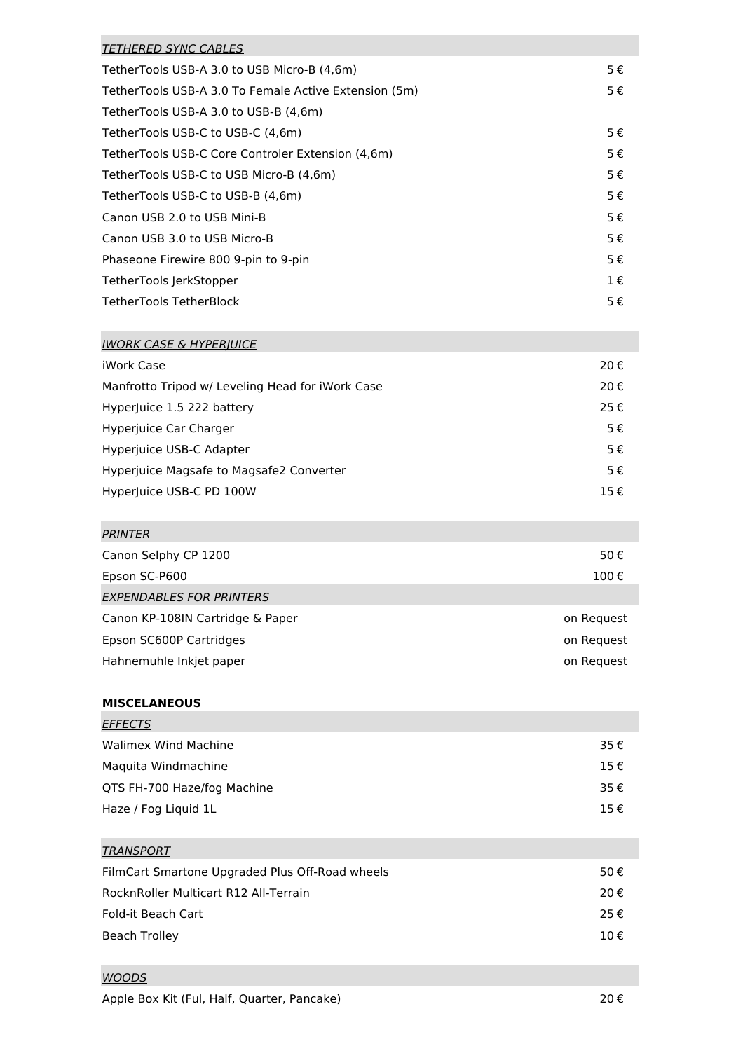| <b>TETHERED SYNC CABLES</b>                           |         |
|-------------------------------------------------------|---------|
| TetherTools USB-A 3.0 to USB Micro-B (4,6m)           | 5€      |
| TetherTools USB-A 3.0 To Female Active Extension (5m) | 5€      |
| TetherTools USB-A 3.0 to USB-B (4,6m)                 |         |
| TetherTools USB-C to USB-C (4,6m)                     | 5€      |
| TetherTools USB-C Core Controler Extension (4,6m)     | 5€      |
| TetherTools USB-C to USB Micro-B (4,6m)               | 5€      |
| TetherTools USB-C to USB-B (4,6m)                     | 5€      |
| Canon USB 2.0 to USB Mini-B                           | 5€      |
| Canon USB 3.0 to USB Micro-B                          | 5€      |
| Phaseone Firewire 800 9-pin to 9-pin                  | 5€      |
| TetherTools JerkStopper                               | $1 \in$ |
| TetherTools TetherBlock                               | 5€      |

# IWORK CASE & HYPERJUICE

| iWork Case                                       | 20€ |
|--------------------------------------------------|-----|
| Manfrotto Tripod w/ Leveling Head for iWork Case | 20€ |
| Hyperluice 1.5 222 battery                       | 25€ |
| Hyperjuice Car Charger                           | 5€  |
| Hyperjuice USB-C Adapter                         | 5€  |
| Hyperjuice Magsafe to Magsafe2 Converter         | 5€  |
| HyperJuice USB-C PD 100W                         | 15€ |

| PRINTER                          |            |
|----------------------------------|------------|
| Canon Selphy CP 1200             | 50€        |
| Epson SC-P600                    | 100€       |
| <b>EXPENDABLES FOR PRINTERS</b>  |            |
| Canon KP-108IN Cartridge & Paper | on Request |
| Epson SC600P Cartridges          | on Request |
| Hahnemuhle Inkjet paper          | on Request |
|                                  |            |

# **MISCELANEOUS**

| <b>Walimex Wind Machine</b><br>35€ |
|------------------------------------|
|                                    |
| Maguita Windmachine<br>15€         |
| OTS FH-700 Haze/fog Machine<br>35€ |
| Haze / Fog Liguid 1L<br>15€        |

# **TRANSPORT**

| 50€ |
|-----|
| 20€ |
| 25€ |
| 10€ |
|     |

# WOODS